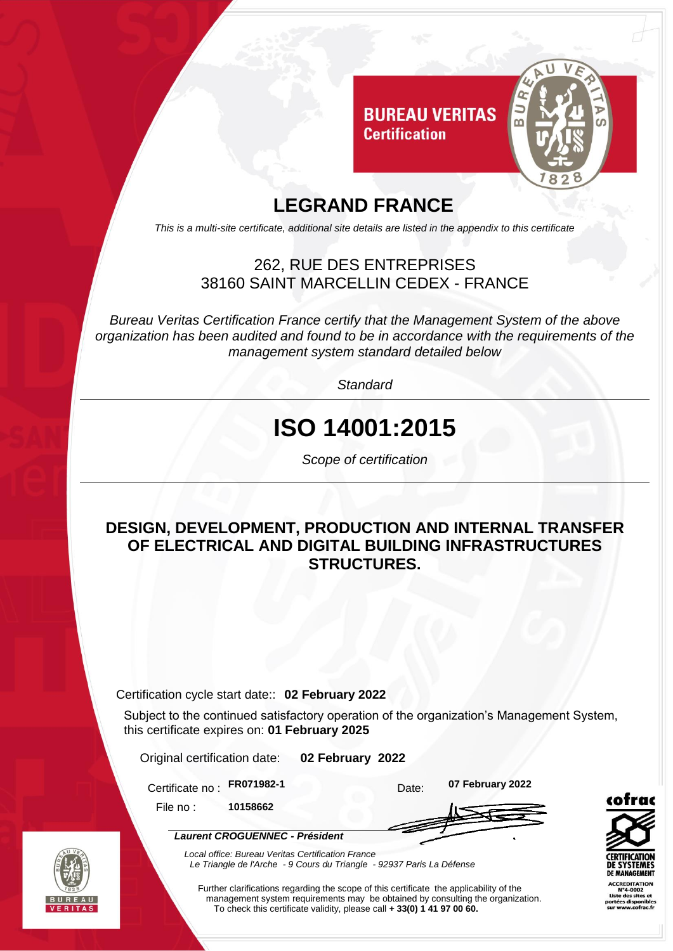

### **LEGRAND FRANCE**

*This is a multi-site certificate, additional site details are listed in the appendix to this certificate*

#### 262, RUE DES ENTREPRISES 38160 SAINT MARCELLIN CEDEX - FRANCE

*Bureau Veritas Certification France certify that the Management System of the above organization has been audited and found to be in accordance with the requirements of the management system standard detailed below*

*Standard*

# **ISO 14001:2015**

*Scope of certification*

#### **DESIGN, DEVELOPMENT, PRODUCTION AND INTERNAL TRANSFER OF ELECTRICAL AND DIGITAL BUILDING INFRASTRUCTURES STRUCTURES.**

Certification cycle start date:: **02 February 2022**

Subject to the continued satisfactory operation of the organization's Management System, this certificate expires on: **01 February 2025**

Original certification date: **02 February 2022**

*Laurent CROGUENNEC - Président*

Certificate no : **FR071982-1** Date: **07 February 2022**

File no : **10158662**

*Local office: Bureau Veritas Certification France Le Triangle de l'Arche - 9 Cours du Triangle - 92937 Paris La Défense* 

Further clarifications regarding the scope of this certificate the applicability of the management system requirements may be obtained by consulting the organization. To check this certificate validity, please call **+ 33(0) 1 41 97 00 60.**